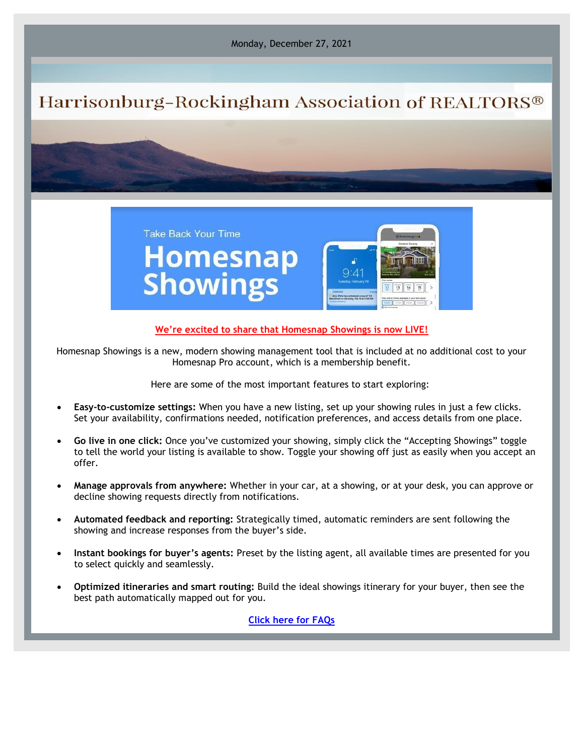Monday, December 27, 2021

## Harrisonburg-Rockingham Association of REALTORS®



## **We're excited to share that Homesnap Showings is now LIVE!**

Homesnap Showings is a new, modern showing management tool that is included at no additional cost to your Homesnap Pro account, which is a membership benefit.

Here are some of the most important features to start exploring:

- **Easy-to-customize settings:** When you have a new listing, set up your showing rules in just a few clicks. Set your availability, confirmations needed, notification preferences, and access details from one place.
- **Go live in one click:** Once you've customized your showing, simply click the "Accepting Showings" toggle to tell the world your listing is available to show. Toggle your showing off just as easily when you accept an offer.
- **Manage approvals from anywhere:** Whether in your car, at a showing, or at your desk, you can approve or decline showing requests directly from notifications.
- **Automated feedback and reporting:** Strategically timed, automatic reminders are sent following the showing and increase responses from the buyer's side.
- **Instant bookings for buyer's agents:** Preset by the listing agent, all available times are presented for you to select quickly and seamlessly.
- **Optimized itineraries and smart routing:** Build the ideal showings itinerary for your buyer, then see the best path automatically mapped out for you.

**[Click here for FAQs](https://files.constantcontact.com/917f92b5101/6fb5e99c-afae-470e-a1cb-e680983b2a4d.pdf)**